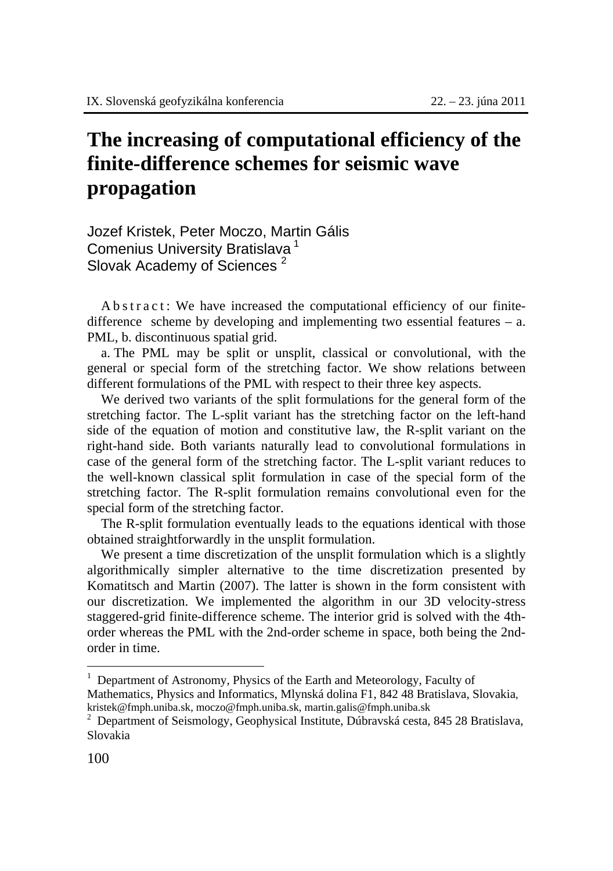## **The increasing of computational efficiency of the finite-difference schemes for seismic wave propagation**

Jozef Kristek, Peter Moczo, Martin Gális Comenius University Bratislava<sup>1</sup> Slovak Academy of Sciences<sup>2</sup>

A b s t r a c t : We have increased the computational efficiency of our finitedifference scheme by developing and implementing two essential features – a. PML, b. discontinuous spatial grid.

a. The PML may be split or unsplit, classical or convolutional, with the general or special form of the stretching factor. We show relations between different formulations of the PML with respect to their three key aspects.

We derived two variants of the split formulations for the general form of the stretching factor. The L-split variant has the stretching factor on the left-hand side of the equation of motion and constitutive law, the R-split variant on the right-hand side. Both variants naturally lead to convolutional formulations in case of the general form of the stretching factor. The L-split variant reduces to the well-known classical split formulation in case of the special form of the stretching factor. The R-split formulation remains convolutional even for the special form of the stretching factor.

The R-split formulation eventually leads to the equations identical with those obtained straightforwardly in the unsplit formulation.

We present a time discretization of the unsplit formulation which is a slightly algorithmically simpler alternative to the time discretization presented by Komatitsch and Martin (2007). The latter is shown in the form consistent with our discretization. We implemented the algorithm in our 3D velocity-stress staggered-grid finite-difference scheme. The interior grid is solved with the 4thorder whereas the PML with the 2nd-order scheme in space, both being the 2ndorder in time.

 $\overline{a}$ 

<sup>1</sup> Department of Astronomy, Physics of the Earth and Meteorology, Faculty of Mathematics, Physics and Informatics, Mlynská dolina F1, 842 48 Bratislava, Slovakia, kristek@fmph.uniba.sk, moczo@fmph.uniba.sk, martin.galis@fmph.uniba.sk <sup>2</sup>

<sup>&</sup>lt;sup>2</sup> Department of Seismology, Geophysical Institute, Dúbravská cesta, 845 28 Bratislava, Slovakia